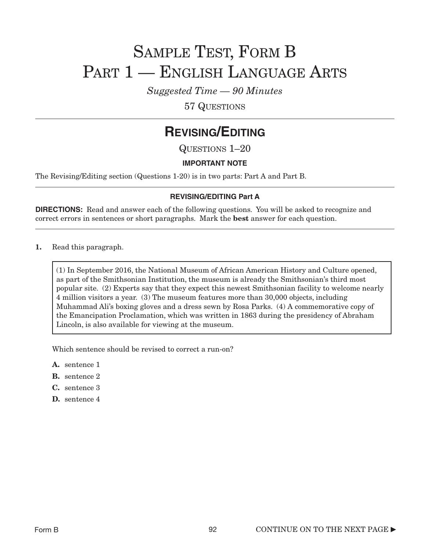# SAMPLE TEST, FORM B PART 1 — ENGLISH LANGUAGE ARTS

*Suggested Time — 90 Minutes*

57 QUESTIONS

### **REVISING/EDITING**

QUESTIONS 1–20

### **IMPORTANT NOTE**

The Revising/Editing section (Questions 1-20) is in two parts: Part A and Part B.

### **REVISING/EDITING Part A**

**DIRECTIONS:** Read and answer each of the following questions. You will be asked to recognize and correct errors in sentences or short paragraphs. Mark the best answer for each question.

1. Read this paragraph.

(1) In September 2016, the National Museum of African American History and Culture opened, as part of the Smithsonian Institution, the museum is already the Smithsonian's third most popular site. (2) Experts say that they expect this newest Smithsonian facility to welcome nearly 4 million visitors a year. (3) The museum features more than 30,000 objects, including Muhammad Ali's boxing gloves and a dress sewn by Rosa Parks. (4) A commemorative copy of the Emancipation Proclamation, which was written in 1863 during the presidency of Abraham Lincoln, is also available for viewing at the museum.

Which sentence should be revised to correct a run-on?

- A. sentence 1
- B. sentence 2
- C. sentence 3
- D. sentence 4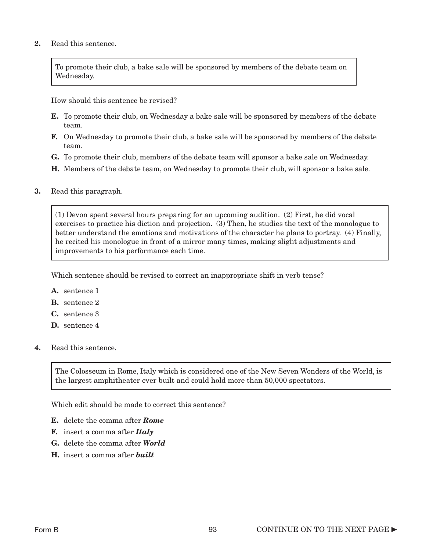#### 2. Read this sentence.

To promote their club, a bake sale will be sponsored by members of the debate team on Wednesday.

How should this sentence be revised?

- **E.** To promote their club, on Wednesday a bake sale will be sponsored by members of the debate team.
- **F.** On Wednesday to promote their club, a bake sale will be sponsored by members of the debate team.
- G. To promote their club, members of the debate team will sponsor a bake sale on Wednesday.
- H. Members of the debate team, on Wednesday to promote their club, will sponsor a bake sale.
- 3. Read this paragraph.

(1) Devon spent several hours preparing for an upcoming audition. (2) First, he did vocal exercises to practice his diction and projection. (3) Then, he studies the text of the monologue to better understand the emotions and motivations of the character he plans to portray. (4) Finally, he recited his monologue in front of a mirror many times, making slight adjustments and improvements to his performance each time.

Which sentence should be revised to correct an inappropriate shift in verb tense?

- A. sentence 1
- B. sentence 2
- C. sentence 3
- D. sentence 4
- 4. Read this sentence.

The Colosseum in Rome, Italy which is considered one of the New Seven Wonders of the World, is the largest amphitheater ever built and could hold more than 50,000 spectators.

Which edit should be made to correct this sentence?

- E. delete the comma after *Rome*
- F. insert a comma after *Italy*
- G. delete the comma after *World*
- H. insert a comma after *built*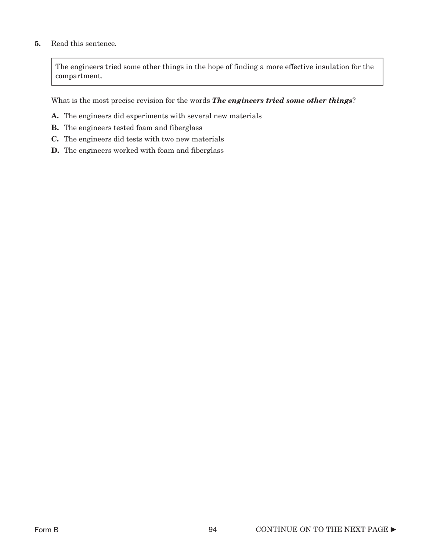### 5. Read this sentence.

The engineers tried some other things in the hope of finding a more effective insulation for the compartment.

What is the most precise revision for the words *The engineers tried some other things*?

- A. The engineers did experiments with several new materials
- B. The engineers tested foam and fiberglass
- C. The engineers did tests with two new materials
- D. The engineers worked with foam and fiberglass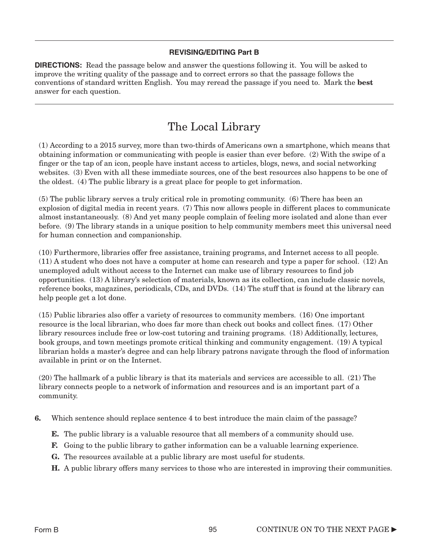### **REVISING/EDITING Part B**

**DIRECTIONS:** Read the passage below and answer the questions following it. You will be asked to improve the writing quality of the passage and to correct errors so that the passage follows the conventions of standard written English. You may reread the passage if you need to. Mark the best answer for each question.

### The Local Library

(1) According to a 2015 survey, more than two-thirds of Americans own a smartphone, which means that obtaining information or communicating with people is easier than ever before. (2) With the swipe of a finger or the tap of an icon, people have instant access to articles, blogs, news, and social networking websites. (3) Even with all these immediate sources, one of the best resources also happens to be one of the oldest. (4) The public library is a great place for people to get information.

(5) The public library serves a truly critical role in promoting community. (6) There has been an explosion of digital media in recent years. (7) This now allows people in different places to communicate almost instantaneously. (8) And yet many people complain of feeling more isolated and alone than ever before. (9) The library stands in a unique position to help community members meet this universal need for human connection and companionship.

(10) Furthermore, libraries offer free assistance, training programs, and Internet access to all people. (11) A student who does not have a computer at home can research and type a paper for school. (12) An unemployed adult without access to the Internet can make use of library resources to find job opportunities. (13) A library's selection of materials, known as its collection, can include classic novels, reference books, magazines, periodicals, CDs, and DVDs. (14) The stuff that is found at the library can help people get a lot done.

(15) Public libraries also offer a variety of resources to community members. (16) One important resource is the local librarian, who does far more than check out books and collect fines. (17) Other library resources include free or low-cost tutoring and training programs. (18) Additionally, lectures, book groups, and town meetings promote critical thinking and community engagement. (19) A typical librarian holds a master's degree and can help library patrons navigate through the flood of information available in print or on the Internet.

(20) The hallmark of a public library is that its materials and services are accessible to all. (21) The library connects people to a network of information and resources and is an important part of a community.

- 6. Which sentence should replace sentence 4 to best introduce the main claim of the passage?
	- **E.** The public library is a valuable resource that all members of a community should use.
	- F. Going to the public library to gather information can be a valuable learning experience.
	- G. The resources available at a public library are most useful for students.
	- H. A public library offers many services to those who are interested in improving their communities.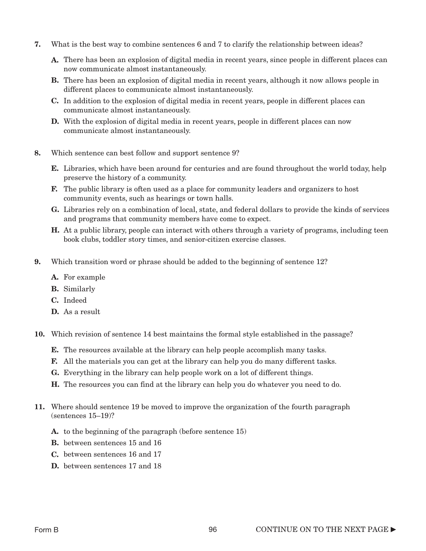- 7. What is the best way to combine sentences 6 and 7 to clarify the relationship between ideas?
	- A. There has been an explosion of digital media in recent years, since people in different places can now communicate almost instantaneously.
	- B. There has been an explosion of digital media in recent years, although it now allows people in different places to communicate almost instantaneously.
	- C. In addition to the explosion of digital media in recent years, people in different places can communicate almost instantaneously.
	- D. With the explosion of digital media in recent years, people in different places can now communicate almost instantaneously.
- 8. Which sentence can best follow and support sentence 9?
	- **E.** Libraries, which have been around for centuries and are found throughout the world today, help preserve the history of a community.
	- F. The public library is often used as a place for community leaders and organizers to host community events, such as hearings or town halls.
	- G. Libraries rely on a combination of local, state, and federal dollars to provide the kinds of services and programs that community members have come to expect.
	- H. At a public library, people can interact with others through a variety of programs, including teen book clubs, toddler story times, and senior-citizen exercise classes.
- 9. Which transition word or phrase should be added to the beginning of sentence 12?
	- A. For example
	- B. Similarly
	- C. Indeed
	- D. As a result
- 10. Which revision of sentence 14 best maintains the formal style established in the passage?
	- E. The resources available at the library can help people accomplish many tasks.
	- F. All the materials you can get at the library can help you do many different tasks.
	- G. Everything in the library can help people work on a lot of different things.
	- H. The resources you can find at the library can help you do whatever you need to do.
- 11. Where should sentence 19 be moved to improve the organization of the fourth paragraph (sentences 15–19)?
	- A. to the beginning of the paragraph (before sentence 15)
	- B. between sentences 15 and 16
	- C. between sentences 16 and 17
	- D. between sentences 17 and 18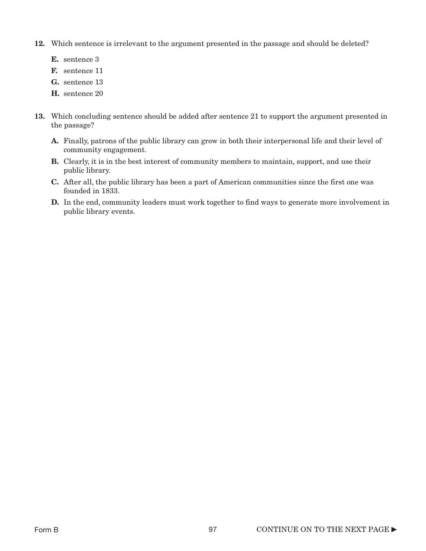- 12. Which sentence is irrelevant to the argument presented in the passage and should be deleted?
	- E. sentence 3
	- F. sentence 11
	- G. sentence 13
	- H. sentence 20
- 13. Which concluding sentence should be added after sentence 21 to support the argument presented in the passage?
	- A. Finally, patrons of the public library can grow in both their interpersonal life and their level of community engagement.
	- B. Clearly, it is in the best interest of community members to maintain, support, and use their public library.
	- C. After all, the public library has been a part of American communities since the first one was founded in 1833.
	- D. In the end, community leaders must work together to find ways to generate more involvement in public library events.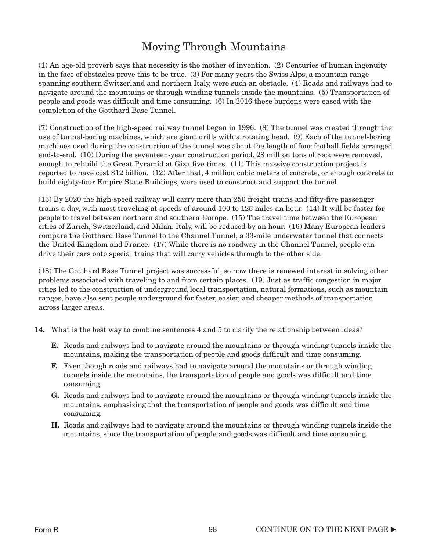### Moving Through Mountains

(1) An age-old proverb says that necessity is the mother of invention. (2) Centuries of human ingenuity in the face of obstacles prove this to be true. (3) For many years the Swiss Alps, a mountain range spanning southern Switzerland and northern Italy, were such an obstacle. (4) Roads and railways had to navigate around the mountains or through winding tunnels inside the mountains. (5) Transportation of people and goods was difficult and time consuming. (6) In 2016 these burdens were eased with the completion of the Gotthard Base Tunnel.

(7) Construction of the high-speed railway tunnel began in 1996. (8) The tunnel was created through the use of tunnel-boring machines, which are giant drills with a rotating head. (9) Each of the tunnel-boring machines used during the construction of the tunnel was about the length of four football fields arranged end-to-end. (10) During the seventeen-year construction period, 28 million tons of rock were removed, enough to rebuild the Great Pyramid at Giza five times. (11) This massive construction project is reported to have cost \$12 billion. (12) After that, 4 million cubic meters of concrete, or enough concrete to build eighty-four Empire State Buildings, were used to construct and support the tunnel.

(13) By 2020 the high-speed railway will carry more than 250 freight trains and fifty-five passenger trains a day, with most traveling at speeds of around 100 to 125 miles an hour. (14) It will be faster for people to travel between northern and southern Europe. (15) The travel time between the European cities of Zurich, Switzerland, and Milan, Italy, will be reduced by an hour. (16) Many European leaders compare the Gotthard Base Tunnel to the Channel Tunnel, a 33-mile underwater tunnel that connects the United Kingdom and France. (17) While there is no roadway in the Channel Tunnel, people can drive their cars onto special trains that will carry vehicles through to the other side.

(18) The Gotthard Base Tunnel project was successful, so now there is renewed interest in solving other problems associated with traveling to and from certain places. (19) Just as traffic congestion in major cities led to the construction of underground local transportation, natural formations, such as mountain ranges, have also sent people underground for faster, easier, and cheaper methods of transportation across larger areas.

- 14. What is the best way to combine sentences 4 and 5 to clarify the relationship between ideas?
	- E. Roads and railways had to navigate around the mountains or through winding tunnels inside the mountains, making the transportation of people and goods difficult and time consuming.
	- F. Even though roads and railways had to navigate around the mountains or through winding tunnels inside the mountains, the transportation of people and goods was difficult and time consuming.
	- G. Roads and railways had to navigate around the mountains or through winding tunnels inside the mountains, emphasizing that the transportation of people and goods was difficult and time consuming.
	- H. Roads and railways had to navigate around the mountains or through winding tunnels inside the mountains, since the transportation of people and goods was difficult and time consuming.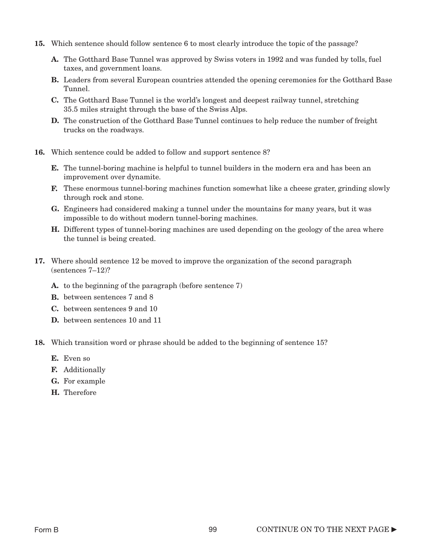- 15. Which sentence should follow sentence 6 to most clearly introduce the topic of the passage?
	- A. The Gotthard Base Tunnel was approved by Swiss voters in 1992 and was funded by tolls, fuel taxes, and government loans.
	- B. Leaders from several European countries attended the opening ceremonies for the Gotthard Base Tunnel.
	- C. The Gotthard Base Tunnel is the world's longest and deepest railway tunnel, stretching 35.5 miles straight through the base of the Swiss Alps.
	- **D.** The construction of the Gotthard Base Tunnel continues to help reduce the number of freight trucks on the roadways.
- 16. Which sentence could be added to follow and support sentence 8?
	- E. The tunnel-boring machine is helpful to tunnel builders in the modern era and has been an improvement over dynamite.
	- F. These enormous tunnel-boring machines function somewhat like a cheese grater, grinding slowly through rock and stone.
	- G. Engineers had considered making a tunnel under the mountains for many years, but it was impossible to do without modern tunnel-boring machines.
	- H. Different types of tunnel-boring machines are used depending on the geology of the area where the tunnel is being created.
- 17. Where should sentence 12 be moved to improve the organization of the second paragraph (sentences 7–12)?
	- A. to the beginning of the paragraph (before sentence 7)
	- B. between sentences 7 and 8
	- C. between sentences 9 and 10
	- D. between sentences 10 and 11
- 18. Which transition word or phrase should be added to the beginning of sentence 15?
	- E. Even so
	- F. Additionally
	- G. For example
	- H. Therefore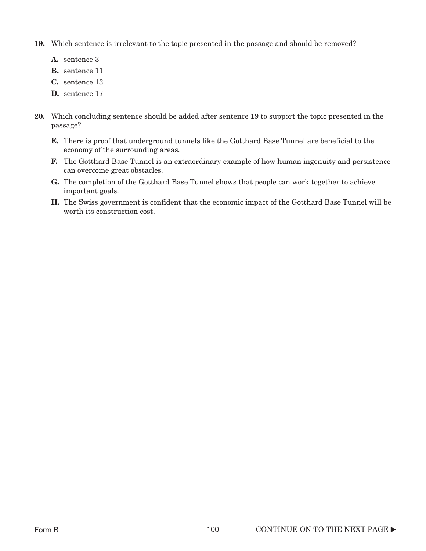- 19. Which sentence is irrelevant to the topic presented in the passage and should be removed?
	- A. sentence 3
	- B. sentence 11
	- C. sentence 13
	- D. sentence 17
- 20. Which concluding sentence should be added after sentence 19 to support the topic presented in the passage?
	- E. There is proof that underground tunnels like the Gotthard Base Tunnel are beneficial to the economy of the surrounding areas.
	- F. The Gotthard Base Tunnel is an extraordinary example of how human ingenuity and persistence can overcome great obstacles.
	- G. The completion of the Gotthard Base Tunnel shows that people can work together to achieve important goals.
	- H. The Swiss government is confident that the economic impact of the Gotthard Base Tunnel will be worth its construction cost.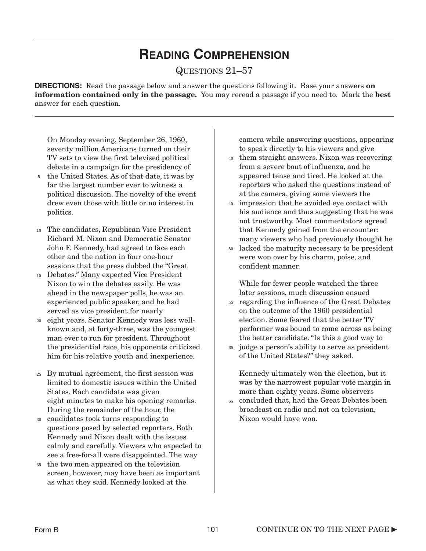## **READING COMPREHENSION**

### QUESTIONS 21–57

**DIRECTIONS:** Read the passage below and answer the questions following it. Base your answers **on** information contained only in the passage. You may reread a passage if you need to. Mark the best answer for each question.

On Monday evening, September 26, 1960, seventy million Americans turned on their TV sets to view the first televised political debate in a campaign for the presidency of

- the United States. As of that date, it was by 5 far the largest number ever to witness a political discussion. The novelty of the event drew even those with little or no interest in politics.
- The candidates, Republican Vice President 10 Richard M. Nixon and Democratic Senator John F. Kennedy, had agreed to face each other and the nation in four one-hour sessions that the press dubbed the "Great
- Debates." Many expected Vice President 15 Nixon to win the debates easily. He was ahead in the newspaper polls, he was an experienced public speaker, and he had served as vice president for nearly
- eight years. Senator Kennedy was less well-20 known and, at forty-three, was the youngest man ever to run for president. Throughout the presidential race, his opponents criticized him for his relative youth and inexperience.
- By mutual agreement, the first session was 25 limited to domestic issues within the United States. Each candidate was given eight minutes to make his opening remarks. During the remainder of the hour, the
- candidates took turns responding to 30 questions posed by selected reporters. Both Kennedy and Nixon dealt with the issues calmly and carefully. Viewers who expected to see a free-for-all were disappointed. The way
- the two men appeared on the television 35 screen, however, may have been as important as what they said. Kennedy looked at the

camera while answering questions, appearing to speak directly to his viewers and give

- them straight answers. Nixon was recovering 40 from a severe bout of influenza, and he appeared tense and tired. He looked at the reporters who asked the questions instead of at the camera, giving some viewers the
- impression that he avoided eye contact with 45 his audience and thus suggesting that he was not trustworthy. Most commentators agreed that Kennedy gained from the encounter: many viewers who had previously thought he
- lacked the maturity necessary to be president were won over by his charm, poise, and confident manner. 50

While far fewer people watched the three later sessions, much discussion ensued

- regarding the influence of the Great Debates on the outcome of the 1960 presidential election. Some feared that the better TV performer was bound to come across as being the better candidate. "Is this a good way to 55
- judge a person's ability to serve as president of the United States?" they asked. 60

Kennedy ultimately won the election, but it was by the narrowest popular vote margin in more than eighty years. Some observers

concluded that, had the Great Debates been 65broadcast on radio and not on television, Nixon would have won.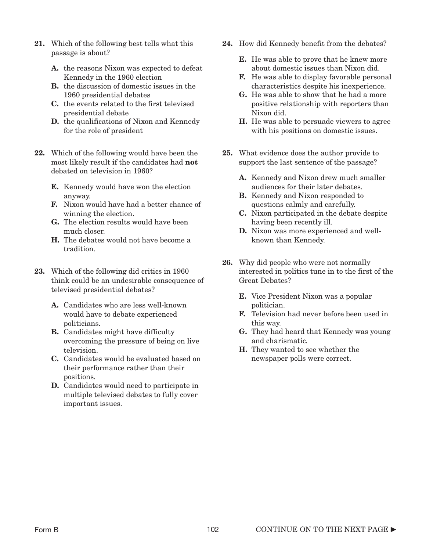- 21. Which of the following best tells what this passage is about?
	- A. the reasons Nixon was expected to defeat Kennedy in the 1960 election
	- B. the discussion of domestic issues in the 1960 presidential debates
	- C. the events related to the first televised presidential debate
	- **D.** the qualifications of Nixon and Kennedy for the role of president
- 22. Which of the following would have been the most likely result if the candidates had not debated on television in 1960?
	- E. Kennedy would have won the election anyway.
	- F. Nixon would have had a better chance of winning the election.
	- G. The election results would have been much closer.
	- H. The debates would not have become a tradition.
- 23. Which of the following did critics in 1960 think could be an undesirable consequence of televised presidential debates?
	- A. Candidates who are less well-known would have to debate experienced politicians.
	- **B.** Candidates might have difficulty overcoming the pressure of being on live television.
	- C. Candidates would be evaluated based on their performance rather than their positions.
	- D. Candidates would need to participate in multiple televised debates to fully cover important issues.
- 24. How did Kennedy benefit from the debates?
	- E. He was able to prove that he knew more about domestic issues than Nixon did.
	- F. He was able to display favorable personal characteristics despite his inexperience.
	- G. He was able to show that he had a more positive relationship with reporters than Nixon did.
	- H. He was able to persuade viewers to agree with his positions on domestic issues.
- 25. What evidence does the author provide to support the last sentence of the passage?
	- A. Kennedy and Nixon drew much smaller audiences for their later debates.
	- B. Kennedy and Nixon responded to questions calmly and carefully.
	- C. Nixon participated in the debate despite having been recently ill.
	- D. Nixon was more experienced and wellknown than Kennedy.
- 26. Why did people who were not normally interested in politics tune in to the first of the Great Debates?
	- E. Vice President Nixon was a popular politician.
	- F. Television had never before been used in this way.
	- G. They had heard that Kennedy was young and charismatic.
	- H. They wanted to see whether the newspaper polls were correct.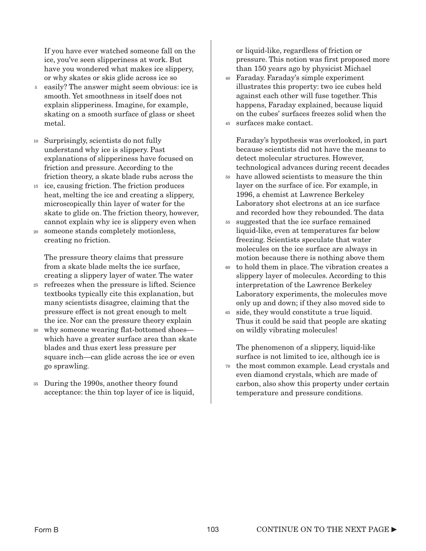If you have ever watched someone fall on the ice, you've seen slipperiness at work. But have you wondered what makes ice slippery, or why skates or skis glide across ice so

- easily? The answer might seem obvious: ice is smooth. Yet smoothness in itself does not explain slipperiness. Imagine, for example, skating on a smooth surface of glass or sheet metal. 5
- Surprisingly, scientists do not fully 10 understand why ice is slippery. Past explanations of slipperiness have focused on friction and pressure. According to the friction theory, a skate blade rubs across the
- ice, causing friction. The friction produces 15 heat, melting the ice and creating a slippery, microscopically thin layer of water for the skate to glide on. The friction theory, however, cannot explain why ice is slippery even when
- someone stands completely motionless, creating no friction. 20

The pressure theory claims that pressure from a skate blade melts the ice surface, creating a slippery layer of water. The water

- refreezes when the pressure is lifted. Science textbooks typically cite this explanation, but many scientists disagree, claiming that the pressure effect is not great enough to melt the ice. Nor can the pressure theory explain 25
- why someone wearing flat-bottomed shoes— 30 which have a greater surface area than skate blades and thus exert less pressure per square inch—can glide across the ice or even go sprawling.
- During the 1990s, another theory found 35 acceptance: the thin top layer of ice is liquid,

or liquid-like, regardless of friction or pressure. This notion was first proposed more than 150 years ago by physicist Michael

- Faraday. Faraday's simple experiment 40 illustrates this property: two ice cubes held against each other will fuse together. This happens, Faraday explained, because liquid on the cubes' surfaces freezes solid when the
- surfaces make contact. 45

Faraday's hypothesis was overlooked, in part because scientists did not have the means to detect molecular structures. However, technological advances during recent decades

- have allowed scientists to measure the thin layer on the surface of ice. For example, in 1996, a chemist at Lawrence Berkeley Laboratory shot electrons at an ice surface and recorded how they rebounded. The data 50
- suggested that the ice surface remained liquid-like, even at temperatures far below freezing. Scientists speculate that water molecules on the ice surface are always in motion because there is nothing above them 55
- to hold them in place. The vibration creates a slippery layer of molecules. According to this interpretation of the Lawrence Berkeley Laboratory experiments, the molecules move only up and down; if they also moved side to 60
- side, they would constitute a true liquid. 65 Thus it could be said that people are skating on wildly vibrating molecules!

The phenomenon of a slippery, liquid-like surface is not limited to ice, although ice is the most common example. Lead crystals and 70even diamond crystals, which are made of carbon, also show this property under certain temperature and pressure conditions.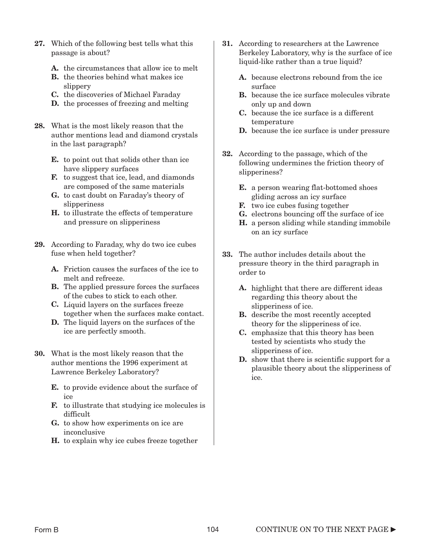- 27. Which of the following best tells what this passage is about?
	- A. the circumstances that allow ice to melt
	- B. the theories behind what makes ice slippery
	- C. the discoveries of Michael Faraday
	- D. the processes of freezing and melting
- 28. What is the most likely reason that the author mentions lead and diamond crystals in the last paragraph?
	- E. to point out that solids other than ice have slippery surfaces
	- F. to suggest that ice, lead, and diamonds are composed of the same materials
	- G. to cast doubt on Faraday's theory of slipperiness
	- H. to illustrate the effects of temperature and pressure on slipperiness
- 29. According to Faraday, why do two ice cubes fuse when held together?
	- A. Friction causes the surfaces of the ice to melt and refreeze.
	- **B.** The applied pressure forces the surfaces of the cubes to stick to each other.
	- C. Liquid layers on the surfaces freeze together when the surfaces make contact.
	- D. The liquid layers on the surfaces of the ice are perfectly smooth.
- 30. What is the most likely reason that the author mentions the 1996 experiment at Lawrence Berkeley Laboratory?
	- E. to provide evidence about the surface of ice
	- F. to illustrate that studying ice molecules is difficult
	- G. to show how experiments on ice are inconclusive
	- H. to explain why ice cubes freeze together
- 31. According to researchers at the Lawrence Berkeley Laboratory, why is the surface of ice liquid-like rather than a true liquid?
	- A. because electrons rebound from the ice surface
	- B. because the ice surface molecules vibrate only up and down
	- C. because the ice surface is a different temperature
	- D. because the ice surface is under pressure
- 32. According to the passage, which of the following undermines the friction theory of slipperiness?
	- E. a person wearing flat-bottomed shoes gliding across an icy surface
	- F. two ice cubes fusing together
	- G. electrons bouncing off the surface of ice
	- **H.** a person sliding while standing immobile on an icy surface
- 33. The author includes details about the pressure theory in the third paragraph in order to
	- A. highlight that there are different ideas regarding this theory about the slipperiness of ice.
	- **B.** describe the most recently accepted theory for the slipperiness of ice.
	- C. emphasize that this theory has been tested by scientists who study the slipperiness of ice.
	- **D.** show that there is scientific support for a plausible theory about the slipperiness of ice.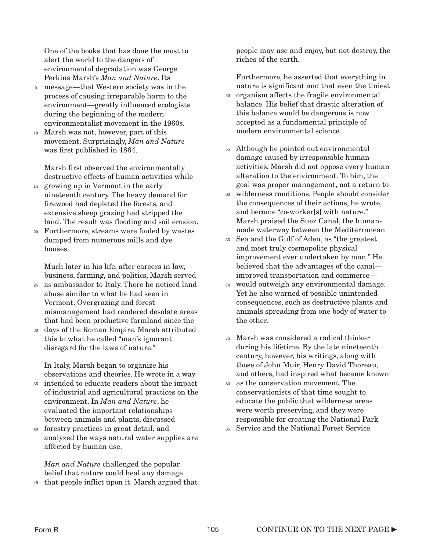One of the books that has done the most to alert the world to the dangers of environmental degradation was George Perkins Marsh's *Man and Nature*. Its

- message—that Western society was in the process of causing irreparable harm to the environment—greatly influenced ecologists during the beginning of the modern environmentalist movement in the 1960s. 5
- Marsh was not, however, part of this movement. Surprisingly, *Man and Nature* was first published in 1864. 10

Marsh first observed the environmentally destructive effects of human activities while

- growing up in Vermont in the early 15 nineteenth century. The heavy demand for firewood had depleted the forests, and extensive sheep grazing had stripped the land. The result was flooding and soil erosion.
- Furthermore, streams were fouled by wastes 20 dumped from numerous mills and dye houses.

Much later in his life, after careers in law, business, farming, and politics, Marsh served

- as ambassador to Italy. There he noticed land abuse similar to what he had seen in Vermont. Overgrazing and forest mismanagement had rendered desolate areas that had been productive farmland since the 25
- days of the Roman Empire. Marsh attributed 30 this to what he called "man's ignorant disregard for the laws of nature."

In Italy, Marsh began to organize his observations and theories. He wrote in a way

- intended to educate readers about the impact 35 of industrial and agricultural practices on the environment. In *Man and Nature*, he evaluated the important relationships between animals and plants, discussed
- forestry practices in great detail, and 40 analyzed the ways natural water supplies are affected by human use.

*Man and Nature* challenged the popular belief that nature could heal any damage

45 that people inflict upon it. Marsh argued that

people may use and enjoy, but not destroy, the riches of the earth.

Furthermore, he asserted that everything in nature is significant and that even the tiniest

- 50 organism affects the fragile environmental balance. His belief that drastic alteration of this balance would be dangerous is now accepted as a fundamental principle of modern environmental science.
- Although he pointed out environmental 55 damage caused by irresponsible human activities, Marsh did not oppose every human alteration to the environment. To him, the goal was proper management, not a return to
- wilderness conditions. People should consider 60 the consequences of their actions, he wrote, and become "co-worker[s] with nature." Marsh praised the Suez Canal, the humanmade waterway between the Mediterranean
- Sea and the Gulf of Aden, as "the greatest and most truly cosmopolite physical improvement ever undertaken by man." He believed that the advantages of the canal improved transportation and commerce— 65
- would outweigh any environmental damage. 70 Yet he also warned of possible unintended consequences, such as destructive plants and animals spreading from one body of water to the other.
- Marsh was considered a radical thinker 75 during his lifetime. By the late nineteenth century, however, his writings, along with those of John Muir, Henry David Thoreau, and others, had inspired what became known
- as the conservation movement. The conservationists of that time sought to educate the public that wilderness areas were worth preserving, and they were responsible for creating the National Park 80

Service and the National Forest Service. 85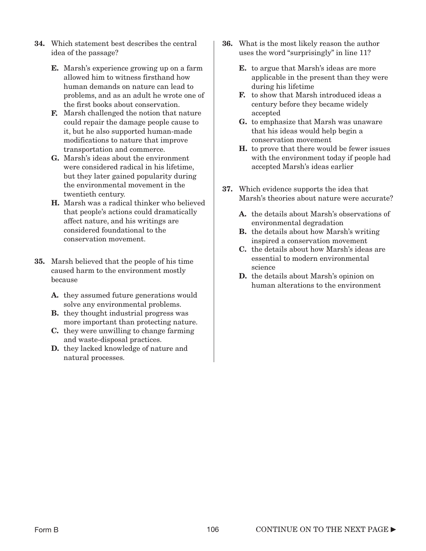- 34. Which statement best describes the central idea of the passage?
	- E. Marsh's experience growing up on a farm allowed him to witness firsthand how human demands on nature can lead to problems, and as an adult he wrote one of the first books about conservation.
	- F. Marsh challenged the notion that nature could repair the damage people cause to it, but he also supported human-made modifications to nature that improve transportation and commerce.
	- G. Marsh's ideas about the environment were considered radical in his lifetime, but they later gained popularity during the environmental movement in the twentieth century.
	- H. Marsh was a radical thinker who believed that people's actions could dramatically affect nature, and his writings are considered foundational to the conservation movement.
- 35. Marsh believed that the people of his time caused harm to the environment mostly because
	- A. they assumed future generations would solve any environmental problems.
	- **B.** they thought industrial progress was more important than protecting nature.
	- C. they were unwilling to change farming and waste-disposal practices.
	- D. they lacked knowledge of nature and natural processes.
- 36. What is the most likely reason the author uses the word "surprisingly" in line 11?
	- E. to argue that Marsh's ideas are more applicable in the present than they were during his lifetime
	- F. to show that Marsh introduced ideas a century before they became widely accepted
	- G. to emphasize that Marsh was unaware that his ideas would help begin a conservation movement
	- H. to prove that there would be fewer issues with the environment today if people had accepted Marsh's ideas earlier
- 37. Which evidence supports the idea that Marsh's theories about nature were accurate?
	- A. the details about Marsh's observations of environmental degradation
	- B. the details about how Marsh's writing inspired a conservation movement
	- C. the details about how Marsh's ideas are essential to modern environmental science
	- D. the details about Marsh's opinion on human alterations to the environment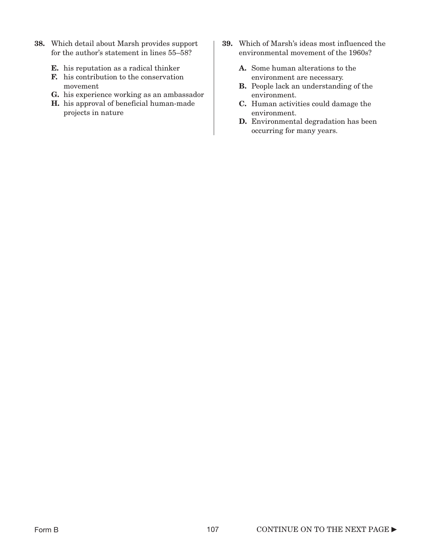- 38. Which detail about Marsh provides support for the author's statement in lines 55–58?
	- **E.** his reputation as a radical thinker **A.** Some human alterations to the
	- **F.** his contribution to the conservation environment are necessary.
	- **G.** his experience working as an ambassador environment.
	- **H.** his approval of beneficial human-made  $\qquad \qquad \mathbf{C}$ . projects in nature
- 39. Which of Marsh's ideas most influenced the environmental movement of the 1960s?
	-
- movement **B.** People lack an understanding of the
	- **C.** Human activities could damage the environment.
	- **D.** Environmental degradation has been occurring for many years.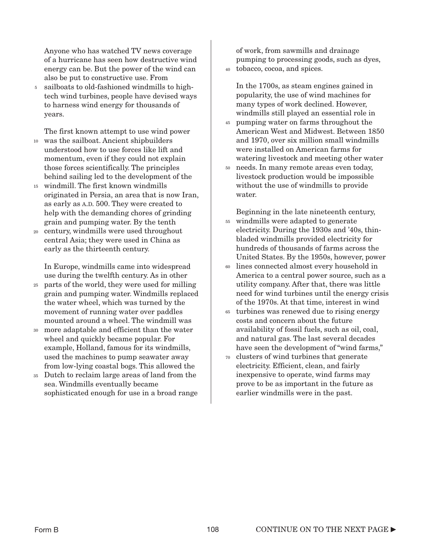Anyone who has watched TV news coverage of a hurricane has seen how destructive wind energy can be. But the power of the wind can also be put to constructive use. From

sailboats to old-fashioned windmills to hightech wind turbines, people have devised ways to harness wind energy for thousands of years. 5

The first known attempt to use wind power was the sailboat. Ancient shipbuilders understood how to use forces like lift and momentum, even if they could not explain those forces scientifically. The principles behind sailing led to the development of the 10

- windmill. The first known windmills 15 originated in Persia, an area that is now Iran, as early as A.D. 500. They were created to help with the demanding chores of grinding grain and pumping water. By the tenth
- century, windmills were used throughout 20 central Asia; they were used in China as early as the thirteenth century.

In Europe, windmills came into widespread use during the twelfth century. As in other

- parts of the world, they were used for milling grain and pumping water. Windmills replaced the water wheel, which was turned by the movement of running water over paddles mounted around a wheel. The windmill was 25
- more adaptable and efficient than the water wheel and quickly became popular. For example, Holland, famous for its windmills, used the machines to pump seawater away from low-lying coastal bogs. This allowed the 30
- Dutch to reclaim large areas of land from the sea. Windmills eventually became sophisticated enough for use in a broad range 35

of work, from sawmills and drainage pumping to processing goods, such as dyes,

tobacco, cocoa, and spices. 40

In the 1700s, as steam engines gained in popularity, the use of wind machines for many types of work declined. However, windmills still played an essential role in

- pumping water on farms throughout the 45 American West and Midwest. Between 1850 and 1970, over six million small windmills were installed on American farms for watering livestock and meeting other water
- needs. In many remote areas even today, 50 livestock production would be impossible without the use of windmills to provide water.

Beginning in the late nineteenth century,

- windmills were adapted to generate electricity. During the 1930s and '40s, thinbladed windmills provided electricity for hundreds of thousands of farms across the United States. By the 1950s, however, power 55
- lines connected almost every household in America to a central power source, such as a utility company. After that, there was little need for wind turbines until the energy crisis of the 1970s. At that time, interest in wind 60
- turbines was renewed due to rising energy 65 costs and concern about the future availability of fossil fuels, such as oil, coal, and natural gas. The last several decades have seen the development of "wind farms,"
- 70 clusters of wind turbines that generate electricity. Efficient, clean, and fairly inexpensive to operate, wind farms may prove to be as important in the future as earlier windmills were in the past.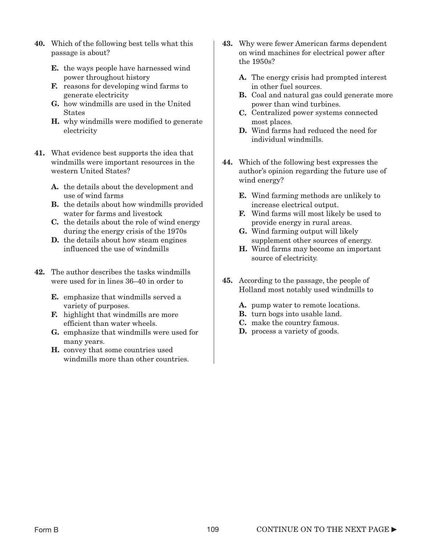- 40. Which of the following best tells what this passage is about?
	- E. the ways people have harnessed wind power throughout history
	- F. reasons for developing wind farms to generate electricity
	- G. how windmills are used in the United States
	- H. why windmills were modified to generate electricity
- 41. What evidence best supports the idea that windmills were important resources in the western United States?
	- A. the details about the development and use of wind farms
	- B. the details about how windmills provided water for farms and livestock
	- C. the details about the role of wind energy during the energy crisis of the 1970s
	- D. the details about how steam engines influenced the use of windmills
- 42. The author describes the tasks windmills were used for in lines 36–40 in order to
	- E. emphasize that windmills served a variety of purposes.
	- **F.** highlight that windmills are more efficient than water wheels.
	- G. emphasize that windmills were used for many years.
	- H. convey that some countries used windmills more than other countries.
- 43. Why were fewer American farms dependent on wind machines for electrical power after the 1950s?
	- A. The energy crisis had prompted interest in other fuel sources.
	- **B.** Coal and natural gas could generate more power than wind turbines.
	- C. Centralized power systems connected most places.
	- D. Wind farms had reduced the need for individual windmills.
- 44. Which of the following best expresses the author's opinion regarding the future use of wind energy?
	- E. Wind farming methods are unlikely to increase electrical output.
	- F. Wind farms will most likely be used to provide energy in rural areas.
	- G. Wind farming output will likely supplement other sources of energy.
	- H. Wind farms may become an important source of electricity.
- 45. According to the passage, the people of Holland most notably used windmills to
	- A. pump water to remote locations.
	- B. turn bogs into usable land.
	- C. make the country famous.
	- D. process a variety of goods.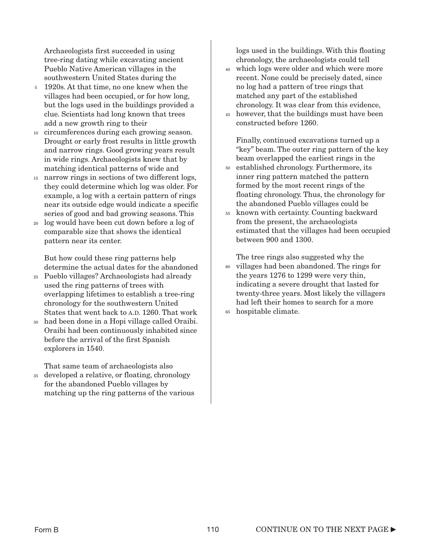Archaeologists first succeeded in using tree-ring dating while excavating ancient Pueblo Native American villages in the southwestern United States during the

- 1920s. At that time, no one knew when the villages had been occupied, or for how long, but the logs used in the buildings provided a clue. Scientists had long known that trees add a new growth ring to their 5
- circumferences during each growing season. Drought or early frost results in little growth and narrow rings. Good growing years result in wide rings. Archaeologists knew that by matching identical patterns of wide and 10
- narrow rings in sections of two different logs, they could determine which log was older. For example, a log with a certain pattern of rings near its outside edge would indicate a specific series of good and bad growing seasons. This 15
- log would have been cut down before a log of comparable size that shows the identical pattern near its center. 20

But how could these ring patterns help determine the actual dates for the abandoned

- Pueblo villages? Archaeologists had already 25 used the ring patterns of trees with overlapping lifetimes to establish a tree-ring chronology for the southwestern United States that went back to A.D. 1260. That work
- had been done in a Hopi village called Oraibi. Oraibi had been continuously inhabited since before the arrival of the first Spanish explorers in 1540. 30

That same team of archaeologists also

developed a relative, or floating, chronology for the abandoned Pueblo villages by matching up the ring patterns of the various 35

logs used in the buildings. With this floating chronology, the archaeologists could tell

- which logs were older and which were more 40 recent. None could be precisely dated, since no log had a pattern of tree rings that matched any part of the established chronology. It was clear from this evidence,
- however, that the buildings must have been 45 constructed before 1260.

Finally, continued excavations turned up a "key" beam. The outer ring pattern of the key beam overlapped the earliest rings in the

- established chronology. Furthermore, its 50 inner ring pattern matched the pattern formed by the most recent rings of the floating chronology. Thus, the chronology for the abandoned Pueblo villages could be
- known with certainty. Counting backward from the present, the archaeologists estimated that the villages had been occupied between 900 and 1300. 55

The tree rings also suggested why the

- 60 villages had been abandoned. The rings for the years 1276 to 1299 were very thin, indicating a severe drought that lasted for twenty-three years. Most likely the villagers had left their homes to search for a more
- hospitable climate. 65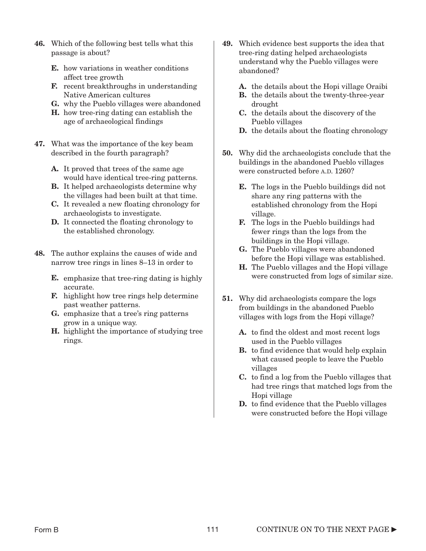- 46. Which of the following best tells what this passage is about?
	- E. how variations in weather conditions affect tree growth
	- F. recent breakthroughs in understanding Native American cultures
	- G. why the Pueblo villages were abandoned
	- H. how tree-ring dating can establish the age of archaeological findings
- 47. What was the importance of the key beam described in the fourth paragraph?
	- A. It proved that trees of the same age would have identical tree-ring patterns.
	- B. It helped archaeologists determine why the villages had been built at that time.
	- C. It revealed a new floating chronology for archaeologists to investigate.
	- D. It connected the floating chronology to the established chronology.
- 48. The author explains the causes of wide and narrow tree rings in lines 8–13 in order to
	- E. emphasize that tree-ring dating is highly accurate.
	- F. highlight how tree rings help determine past weather patterns.
	- G. emphasize that a tree's ring patterns grow in a unique way.
	- **H.** highlight the importance of studying tree rings.
- 49. Which evidence best supports the idea that tree-ring dating helped archaeologists understand why the Pueblo villages were abandoned?
	- A. the details about the Hopi village Oraibi
	- B. the details about the twenty-three-year drought
	- C. the details about the discovery of the Pueblo villages
	- **D.** the details about the floating chronology
- 50. Why did the archaeologists conclude that the buildings in the abandoned Pueblo villages were constructed before A.D. 1260?
	- E. The logs in the Pueblo buildings did not share any ring patterns with the established chronology from the Hopi village.
	- F. The logs in the Pueblo buildings had fewer rings than the logs from the buildings in the Hopi village.
	- G. The Pueblo villages were abandoned before the Hopi village was established.
	- H. The Pueblo villages and the Hopi village were constructed from logs of similar size.
- 51. Why did archaeologists compare the logs from buildings in the abandoned Pueblo villages with logs from the Hopi village?
	- A. to find the oldest and most recent logs used in the Pueblo villages
	- **B.** to find evidence that would help explain what caused people to leave the Pueblo villages
	- C. to find a log from the Pueblo villages that had tree rings that matched logs from the Hopi village
	- D. to find evidence that the Pueblo villages were constructed before the Hopi village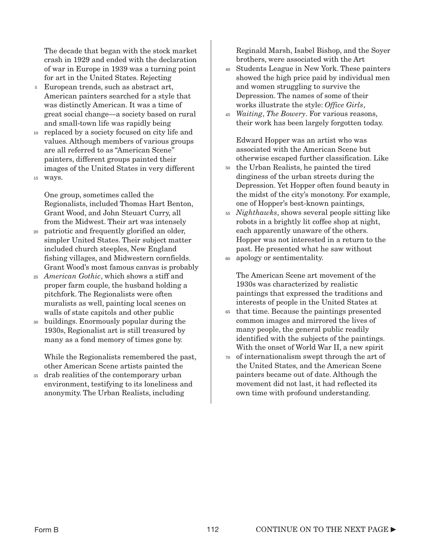The decade that began with the stock market crash in 1929 and ended with the declaration of war in Europe in 1939 was a turning point for art in the United States. Rejecting

- European trends, such as abstract art, American painters searched for a style that was distinctly American. It was a time of great social change—a society based on rural and small-town life was rapidly being 5
- replaced by a society focused on city life and values. Although members of various groups are all referred to as "American Scene" painters, different groups painted their images of the United States in very different ways. 15 10

One group, sometimes called the Regionalists, included Thomas Hart Benton, Grant Wood, and John Steuart Curry, all from the Midwest. Their art was intensely

- patriotic and frequently glorified an older, simpler United States. Their subject matter included church steeples, New England fishing villages, and Midwestern cornfields. Grant Wood's most famous canvas is probably 20
- *American Gothic*, which shows a stiff and 25 proper farm couple, the husband holding a pitchfork. The Regionalists were often muralists as well, painting local scenes on walls of state capitols and other public
- buildings. Enormously popular during the 1930s, Regionalist art is still treasured by many as a fond memory of times gone by. 30

While the Regionalists remembered the past, other American Scene artists painted the

drab realities of the contemporary urban environment, testifying to its loneliness and anonymity. The Urban Realists, including 35

Reginald Marsh, Isabel Bishop, and the Soyer brothers, were associated with the Art

- Students League in New York. These painters showed the high price paid by individual men and women struggling to survive the Depression. The names of some of their works illustrate the style: *Office Girls*, 40
- *Waiting*, *The Bowery*. For various reasons, 45 their work has been largely forgotten today.

Edward Hopper was an artist who was associated with the American Scene but otherwise escaped further classification. Like

- the Urban Realists, he painted the tired 50 dinginess of the urban streets during the Depression. Yet Hopper often found beauty in the midst of the city's monotony. For example, one of Hopper's best-known paintings,
- *Nighthawks*, shows several people sitting like 55 robots in a brightly lit coffee shop at night, each apparently unaware of the others. Hopper was not interested in a return to the past. He presented what he saw without
- apology or sentimentality. 60

The American Scene art movement of the 1930s was characterized by realistic paintings that expressed the traditions and interests of people in the United States at

- that time. Because the paintings presented 65 common images and mirrored the lives of many people, the general public readily identified with the subjects of the paintings. With the onset of World War II, a new spirit
- 70 of internationalism swept through the art of the United States, and the American Scene painters became out of date. Although the movement did not last, it had reflected its own time with profound understanding.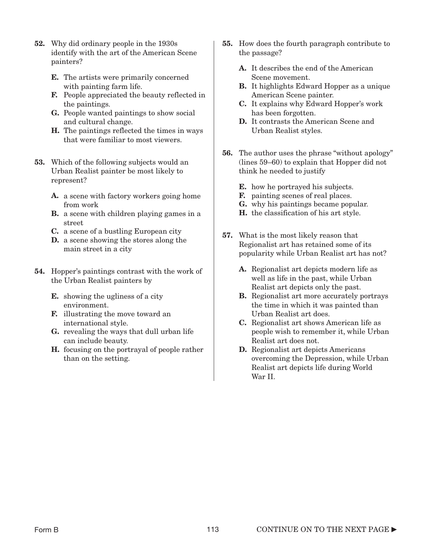- 52. Why did ordinary people in the 1930s identify with the art of the American Scene painters?
	- E. The artists were primarily concerned with painting farm life.
	- F. People appreciated the beauty reflected in the paintings.
	- G. People wanted paintings to show social and cultural change.
	- H. The paintings reflected the times in ways that were familiar to most viewers.
- 53. Which of the following subjects would an Urban Realist painter be most likely to represent?
	- A. a scene with factory workers going home from work
	- B. a scene with children playing games in a street
	- C. a scene of a bustling European city
	- D. a scene showing the stores along the main street in a city
- 54. Hopper's paintings contrast with the work of the Urban Realist painters by
	- E. showing the ugliness of a city environment.
	- F. illustrating the move toward an international style.
	- G. revealing the ways that dull urban life can include beauty.
	- H. focusing on the portrayal of people rather than on the setting.
- 55. How does the fourth paragraph contribute to the passage?
	- A. It describes the end of the American Scene movement.
	- B. It highlights Edward Hopper as a unique American Scene painter.
	- C. It explains why Edward Hopper's work has been forgotten.
	- D. It contrasts the American Scene and Urban Realist styles.
- 56. The author uses the phrase "without apology" (lines 59–60) to explain that Hopper did not think he needed to justify
	- E. how he portrayed his subjects.
	- F. painting scenes of real places.
	- G. why his paintings became popular.
	- H. the classification of his art style.
- 57. What is the most likely reason that Regionalist art has retained some of its popularity while Urban Realist art has not?
	- A. Regionalist art depicts modern life as well as life in the past, while Urban Realist art depicts only the past.
	- **B.** Regionalist art more accurately portrays the time in which it was painted than Urban Realist art does.
	- C. Regionalist art shows American life as people wish to remember it, while Urban Realist art does not.
	- D. Regionalist art depicts Americans overcoming the Depression, while Urban Realist art depicts life during World War II.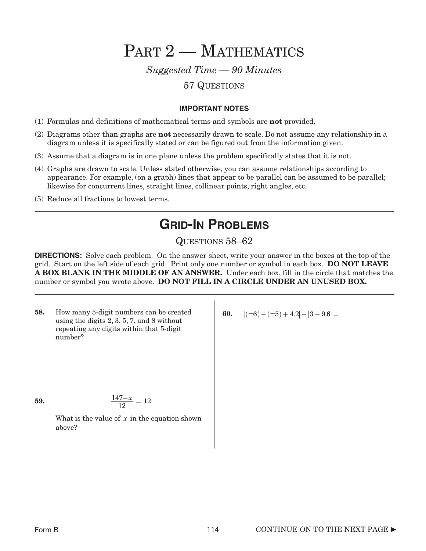PART 2 - MATHEMATICS

*Suggested Time — 90 Minutes*

### 57 QUESTIONS

#### **IMPORTANT NOTES**

- (1) Formulas and definitions of mathematical terms and symbols are not provided.
- (2) Diagrams other than graphs are not necessarily drawn to scale. Do not assume any relationship in a diagram unless it is specifically stated or can be figured out from the information given.
- (3) Assume that a diagram is in one plane unless the problem specifically states that it is not.
- (4) Graphs are drawn to scale. Unless stated otherwise, you can assume relationships according to appearance. For example, (on a graph) lines that appear to be parallel can be assumed to be parallel; likewise for concurrent lines, straight lines, collinear points, right angles, etc.
- (5) Reduce all fractions to lowest terms.

### **GRID-IN PROBLEMS**

### QUESTIONS 58–62

**DIRECTIONS:** Solve each problem. On the answer sheet, write your answer in the boxes at the top of the grid. Start on the left side of each grid. Print only one number or symbol in each box. DO NOT LEAVE A BOX BLANK IN THE MIDDLE OF AN ANSWER. Under each box, fill in the circle that matches the number or symbol you wrote above. DO NOT FILL IN A CIRCLE UNDER AN UNUSED BOX.

58. How many 5-digit numbers can be created using the digits 2, 3, 5, 7, and 8 without repeating any digits within that 5-digit number?

**59.**  $\qquad \qquad \frac{1}{2}$ 

$$
\frac{147-x}{12}=12
$$

What is the value of x in the equation shown above?

60.  $|(-6) - (-5) + 4.2| - |3 - 9.6| =$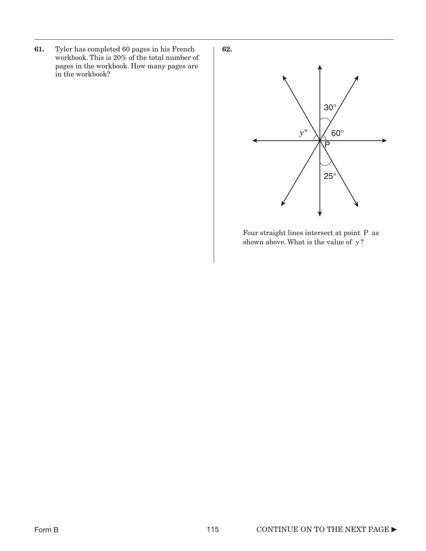61. Tyler has completed 60 pages in his French workbook. This is 20% of the total number of pages in the workbook. How many pages are in the workbook?



Four straight lines intersect at point P as shown above. What is the value of y?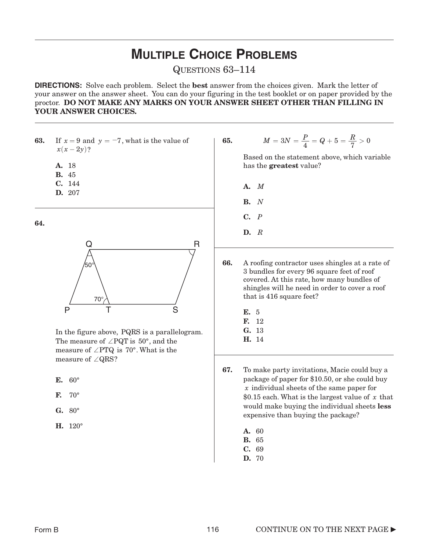## **MULTIPLE CHOICE PROBLEMS**

QUESTIONS 63–114

**DIRECTIONS:** Solve each problem. Select the best answer from the choices given. Mark the letter of your answer on the answer sheet. You can do your figuring in the test booklet or on paper provided by the proctor. DO NOT MAKE ANY MARKS ON YOUR ANSWER SHEET OTHER THAN FILLING IN YOUR ANSWER CHOICES.

**63.** If  $x = 9$  and  $y = -7$ , what is the value of  $x(x - 2y)$ ?

- A. 18
- B. 45
- C. *M* C. 144
- D. 207

64.



In the figure above, PQRS is a parallelogram. The measure of  $\angle$  PQT is 50°, and the measure of  $\angle$  PTQ is 70°. What is the measure of  $\angle$ QRS?

- E. 60°
- F.  $70^{\circ}$
- $G. 80^\circ$
- H. 120°

**65.** 
$$
M = 3N = \frac{P}{4} = Q + 5 = \frac{R}{7} > 0
$$

Based on the statement above, which variable has the greatest value?

- A.
- B. *N*
- C. *P*
- D. *R*

66. A roofing contractor uses shingles at a rate of 3 bundles for every 96 square feet of roof covered. At this rate, how many bundles of shingles will he need in order to cover a roof that is 416 square feet?

- E. 5
- F. 12
- G. 13 H. 14

67. To make party invitations, Macie could buy a package of paper for \$10.50, or she could buy individual sheets of the same paper for *x* \$0.15 each. What is the largest value of x that would make buying the individual sheets less expensive than buying the package?

- A. 60
- B. 65
- C. 69
- D. 70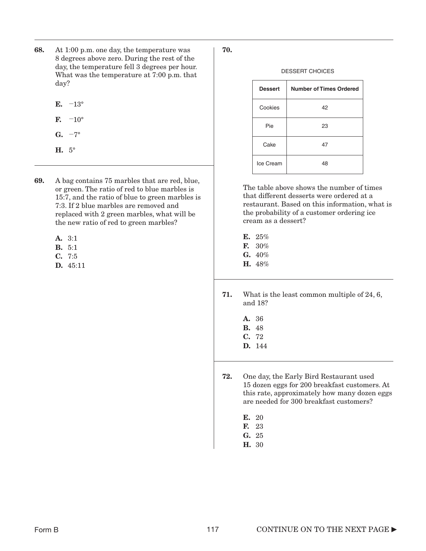- 68. At 1:00 p.m. one day, the temperature was 8 degrees above zero. During the rest of the day, the temperature fell 3 degrees per hour. What was the temperature at 7:00 p.m. that day?
	- $E. -13^\circ$
	- $\mathbf{F}$ .  $-10^{\circ}$
	- G.  $-7^\circ$
	- H. 5°
- 69. A bag contains 75 marbles that are red, blue, or green. The ratio of red to blue marbles is 15:7, and the ratio of blue to green marbles is 7:3. If 2 blue marbles are removed and replaced with 2 green marbles, what will be the new ratio of red to green marbles?
	- A. 3:1
	- B. 5:1
	- C. 7:5
	- D. 45:11

#### DESSERT CHOICES

| <b>Dessert</b> | <b>Number of Times Ordered</b> |
|----------------|--------------------------------|
| Cookies        | 42                             |
| Pie            | 23                             |
| Cake           | 47                             |
| Ice Cream      | 48                             |

The table above shows the number of times that different desserts were ordered at a restaurant. Based on this information, what is the probability of a customer ordering ice cream as a dessert?

- E. 25% F. 30% G.  $40\%$ H. 48%
- 71. What is the least common multiple of 24, 6, and 18?
	- A. 36 B. 48 C. 72 D. 144
	-
- 72. One day, the Early Bird Restaurant used 15 dozen eggs for 200 breakfast customers. At this rate, approximately how many dozen eggs are needed for 300 breakfast customers?
	- E. 20
	- F. 23
	- G. 25
	- H. 30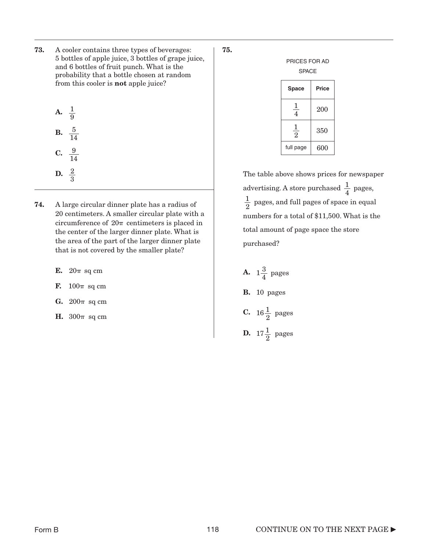73. A cooler contains three types of beverages: 5 bottles of apple juice, 3 bottles of grape juice, and 6 bottles of fruit punch. What is the probability that a bottle chosen at random from this cooler is not apple juice?

**A.** 
$$
\frac{1}{9}
$$
  
**B.**  $\frac{5}{14}$ 

C.  $\frac{9}{14}$ **D.**  $\frac{2}{2}$ 

3

- 74. A large circular dinner plate has a radius of 20 centimeters. A smaller circular plate with a circumference of  $20\pi$  centimeters is placed in the center of the larger dinner plate. What is the area of the part of the larger dinner plate that is not covered by the smaller plate?
	- E.  $20\pi$  sq cm
	- F.  $100\pi$  sq cm
	- $G. 200\pi$  sq cm
	- H.  $300\pi$  sq cm

75.

| PRICES FOR AD<br><b>SPACE</b>    |       |  |
|----------------------------------|-------|--|
| Space                            | Price |  |
| $\frac{1}{4}$                    | 200   |  |
| $\overline{1}$<br>$\overline{2}$ | 350   |  |
| full page                        | 600   |  |

The table above shows prices for newspaper advertising. A store purchased  $\frac{1}{4}$  pages,  $\frac{1}{2}$  pages, and full pages of space in equal numbers for a total of \$11,500. What is the total amount of page space the store purchased? 4 2

**B.** 10 pages  $300\pi$  sq cm  $C. 16\frac{1}{2}$  pages **D.**  $17\frac{1}{2}$  pages  $1\frac{3}{4}$  pages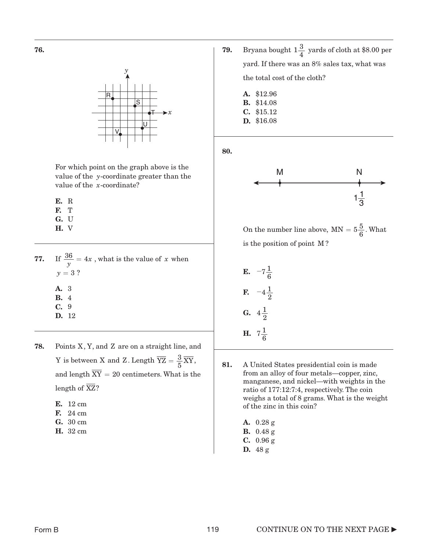

For which point on the graph above is the value of the y-coordinate greater than the value of the *x*-coordinate?

E. R

- F. T
- G. U
- H. V
- **77.** If  $\frac{36}{y} = 4x$ , what is the value of x when  $y = 3$  ? A. 3 B. 4
	- C. 9
	- D. 12
- **78.** Points  $X, Y$ , and  $Z$  are on a straight line, and Y is between X and Z. Length  $\overline{YZ} = \frac{3}{5} \overline{XY}$ , and length  $XY = 20$  centimeters. What is the length of XZ?
	- E. 12 cm
	- F. 24 cm
	- G. 30 cm
	- H. 32 cm
- **79.** Bryana bought  $1\frac{3}{4}$  yards of cloth at \$8.00 per yard. If there was an 8% sales tax, what was the total cost of the cloth?
	- A. \$12.96 B. \$14.08 C. \$15.12 D. \$16.08

80.



On the number line above,  $MN = 5\frac{5}{6}$ . What is the position of point M?

**E.** 
$$
-7\frac{1}{6}
$$
  
\n**F.**  $-4\frac{1}{2}$   
\n**G.**  $4\frac{1}{2}$   
\n**H.**  $7\frac{1}{6}$ 

- 81. A United States presidential coin is made from an alloy of four metals—copper, zinc, manganese, and nickel—with weights in the ratio of 177:12:7:4, respectively. The coin weighs a total of 8 grams. What is the weight of the zinc in this coin?
	- A. 0.28 g
	- B. 0.48 g
	- C. 0.96 g
	- D. 48 g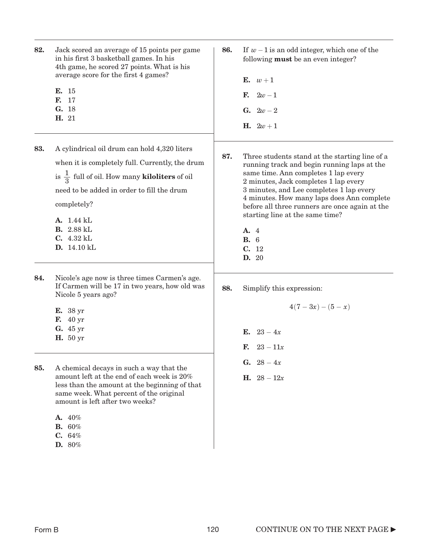| 82. | Jack scored an average of 15 points per game<br>in his first 3 basketball games. In his<br>4th game, he scored 27 points. What is his<br>average score for the first 4 games?<br>E. 15<br>F. 17<br>G. 18<br>H. 21                                                                               | 86. | If $w-1$ is an odd integer, which one of the<br>following <b>must</b> be an even integer?<br>E. $w+1$<br>$2w-1$<br>F.<br><b>G.</b> $2w - 2$<br><b>H.</b> $2w + 1$                                                                                                                                                                                                                                             |
|-----|-------------------------------------------------------------------------------------------------------------------------------------------------------------------------------------------------------------------------------------------------------------------------------------------------|-----|---------------------------------------------------------------------------------------------------------------------------------------------------------------------------------------------------------------------------------------------------------------------------------------------------------------------------------------------------------------------------------------------------------------|
| 83. | A cylindrical oil drum can hold 4,320 liters<br>when it is completely full. Currently, the drum<br>is $\frac{1}{2}$ full of oil. How many <b>kiloliters</b> of oil<br>need to be added in order to fill the drum<br>completely?<br>A. 1.44 kL<br><b>B.</b> 2.88 kL<br>C. 4.32 kL<br>D. 14.10 kL | 87. | Three students stand at the starting line of a<br>running track and begin running laps at the<br>same time. Ann completes 1 lap every<br>2 minutes, Jack completes 1 lap every<br>3 minutes, and Lee completes 1 lap every<br>4 minutes. How many laps does Ann complete<br>before all three runners are once again at the<br>starting line at the same time?<br>A. 4<br><b>B.</b> 6<br>C. 12<br><b>D.</b> 20 |
| 84. | Nicole's age now is three times Carmen's age.<br>If Carmen will be 17 in two years, how old was<br>Nicole 5 years ago?<br><b>E.</b> 38 yr<br><b>F.</b> 40 yr<br>G. 45 yr<br><b>H.</b> 50 yr                                                                                                     | 88. | Simplify this expression:<br>$4(7-3x)-(5-x)$<br><b>E.</b> $23 - 4x$<br>$23 - 11x$<br>F.                                                                                                                                                                                                                                                                                                                       |
| 85. | A chemical decays in such a way that the<br>amount left at the end of each week is 20%<br>less than the amount at the beginning of that<br>same week. What percent of the original<br>amount is left after two weeks?<br>A. 40%<br><b>B.</b> 60%<br>C. 64%<br>D. 80%                            |     | G. $28-4x$<br><b>H.</b> $28 - 12x$                                                                                                                                                                                                                                                                                                                                                                            |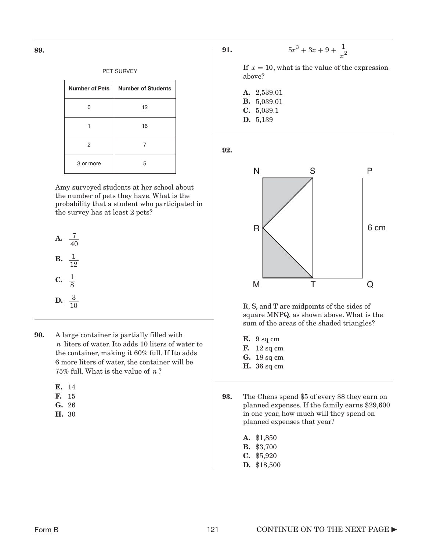| PET SURVEY            |                           |  |
|-----------------------|---------------------------|--|
| <b>Number of Pets</b> | <b>Number of Students</b> |  |
|                       | 12                        |  |
|                       | 16                        |  |
| 2                     |                           |  |
| 3 or more             | 5                         |  |

Amy surveyed students at her school about the number of pets they have. What is the probability that a student who participated in the survey has at least 2 pets?

**A.** 
$$
\frac{7}{40}
$$
  
**B.**  $\frac{1}{12}$   
**C.**  $\frac{1}{8}$   
**D.**  $\frac{3}{10}$ 

- 90. A large container is partially filled with *n* liters of water. Ito adds 10 liters of water to the container, making it 60% full. If Ito adds 6 more liters of water, the container will be  $75\%$  full. What is the value of  $n$ ?
	- E. 14
	- F. 15
	- G. 26
	- H. 30



If  $x = 10$ , what is the value of the expression above?

 $x^3 + 3x$  $5x^3 + 3x + 9 + \frac{1}{x^2}$ 

A. 2,539.01 B. 5,039.01 C. 5,039.1 D. 5,139

92.



R, S, and T are midpoints of the sides of square MNPQ, as shown above. What is the sum of the areas of the shaded triangles?

- E. 9 sq cm
- **F.** 12 sq cm
- G. 18 sq cm
- **H.** 36 sq cm
- 93. The Chens spend \$5 of every \$8 they earn on planned expenses. If the family earns \$29,600 in one year, how much will they spend on planned expenses that year?
	- A. \$1,850 B. \$3,700 C. \$5,920 D. \$18,500

89.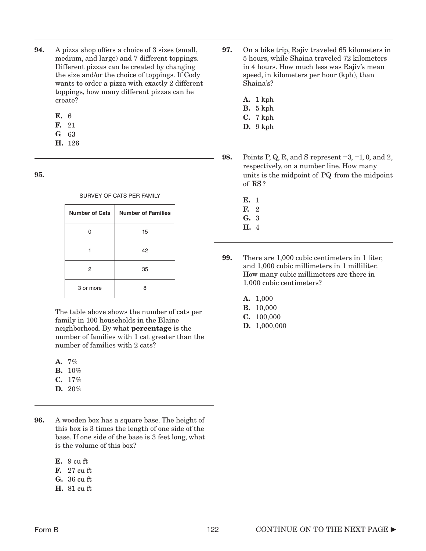- 94. A pizza shop offers a choice of 3 sizes (small, medium, and large) and 7 different toppings. Different pizzas can be created by changing the size and/or the choice of toppings. If Cody wants to order a pizza with exactly 2 different toppings, how many different pizzas can he create?
	- E. 6
	- F. 21
	- G 63
	- H. 126

95.

| SURVEY OF CATS PER FAMILY |  |  |
|---------------------------|--|--|
|                           |  |  |

| <b>Number of Cats</b> | <b>Number of Families</b> |
|-----------------------|---------------------------|
| O                     | 15                        |
|                       | 42                        |
| 2                     | 35                        |
| 3 or more             | 8                         |

The table above shows the number of cats per family in 100 households in the Blaine neighborhood. By what percentage is the number of families with 1 cat greater than the number of families with 2 cats?

- A. 7%
- **B.** 10%
- C. 17%
- D. 20%

96. A wooden box has a square base. The height of this box is 3 times the length of one side of the base. If one side of the base is 3 feet long, what is the volume of this box?

- E. 9 cu ft
- F. 27 cu ft
- G. 36 cu ft
- H. 81 cu ft
- 97. On a bike trip, Rajiv traveled 65 kilometers in 5 hours, while Shaina traveled 72 kilometers in 4 hours. How much less was Rajiv's mean speed, in kilometers per hour (kph), than Shaina's?
	- A. 1 kph B. 5 kph
	- C. 7 kph
	- D. 9 kph
- **98.** Points P, Q, R, and S represent  $-3$ ,  $-1$ , 0, and 2, respectively, on a number line. How many units is the midpoint of PQ from the midpoint of RS?
	- E. 1 F. 2
	- G. 3 H. 4
- 99. There are 1,000 cubic centimeters in 1 liter, and 1,000 cubic millimeters in 1 milliliter. How many cubic millimeters are there in 1,000 cubic centimeters?
	- A. 1,000
	- B. 10,000
	- C. 100,000
	- D. 1,000,000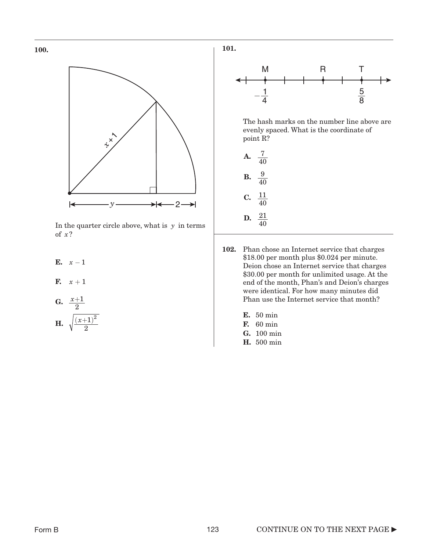



In the quarter circle above, what is  $y$  in terms of ? *x*

- E.  $x-1$
- F.  $x+1$
- G.  $\frac{x+1}{2}$ 2
- **H.**  $\sqrt{\frac{(x+1)^2}{2}}$  **F.** 60 min<br>**F.** 60 min  $(x+1)^2$



The hash marks on the number line above are evenly spaced. What is the coordinate of point R?

- A.  $\frac{7}{40}$ **B.**  $\frac{9}{40}$ C.  $\frac{11}{40}$ **D.**  $\frac{21}{40}$ 40 40
- 102. Phan chose an Internet service that charges \$18.00 per month plus \$0.024 per minute. Deion chose an Internet service that charges \$30.00 per month for unlimited usage. At the end of the month, Phan's and Deion's charges were identical. For how many minutes did Phan use the Internet service that month?
	- E. 50 min
	- **F.** 60 min
	- G. 100 min
	- H. 500 min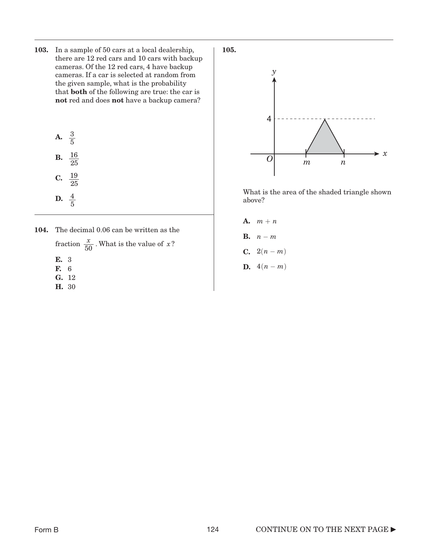103. In a sample of 50 cars at a local dealership, there are 12 red cars and 10 cars with backup cameras. Of the 12 red cars, 4 have backup cameras. If a car is selected at random from the given sample, what is the probability that both of the following are true: the car is not red and does not have a backup camera?

|    | $\frac{3}{5}$   |
|----|-----------------|
| В. | $\frac{16}{25}$ |
| C. | $\frac{19}{25}$ |
| D. | $\frac{4}{5}$   |

104. The decimal 0.06 can be written as the fraction  $\frac{x}{50}$ . What is the value of *x*? E. 3

- F. 6
- G. 12
- H. 30





What is the area of the shaded triangle shown above?

A.  $m + n$ **B.**  $n-m$ **C.**  $2(n-m)$ **D.**  $4(n-m)$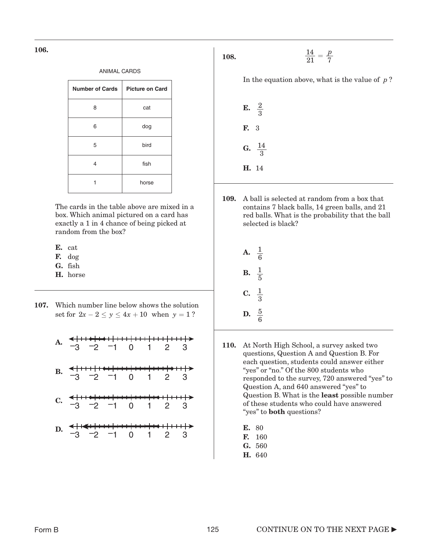106.

| <b>ANIMAL CARDS</b>    |                        |  |
|------------------------|------------------------|--|
| <b>Number of Cards</b> | <b>Picture on Card</b> |  |
| 8                      | cat                    |  |
| 6                      | dog                    |  |
| 5                      | bird                   |  |
| 4                      | fish                   |  |
|                        | horse                  |  |

The cards in the table above are mixed in a box. Which animal pictured on a card has exactly a 1 in 4 chance of being picked at random from the box?

- E. cat
- F. dog
- G. fish
- H. horse
- 107. Which number line below shows the solution set for  $2x - 2 \le y \le 4x + 10$  when  $y = 1$ ?
	- A.  $-3$   $-2$   $-1$  0 1 2 3 B.  $\frac{1}{3}$  –2 –1 0 1 2 3 C.  $-3$   $-2$   $-1$  0 1 2 3 D.  $\xrightarrow{-3}$ <del>+|+++|+++|+++|+++|></del><br>-1 0 1 2 3

108.

$$
\frac{14}{21} = \frac{p}{7}
$$

In the equation above, what is the value of  $p$ ?

E.  $\frac{2}{2}$ F. 3 G.  $\frac{14}{2}$ H. 143 3

109. A ball is selected at random from a box that contains 7 black balls, 14 green balls, and 21 red balls. What is the probability that the ball selected is black?

| А. | $\frac{1}{6}$ |
|----|---------------|
| В. | $\frac{1}{5}$ |
| C. | $\frac{1}{3}$ |
| D. | $rac{5}{6}$   |

- 110. At North High School, a survey asked two questions, Question A and Question B. For each question, students could answer either "yes" or "no." Of the 800 students who responded to the survey, 720 answered "yes" to Question A, and 640 answered "yes" to Question B. What is the least possible number of these students who could have answered "yes" to both questions?
	- E. 80
	- F. 160
	- G. 560
	- H. 640